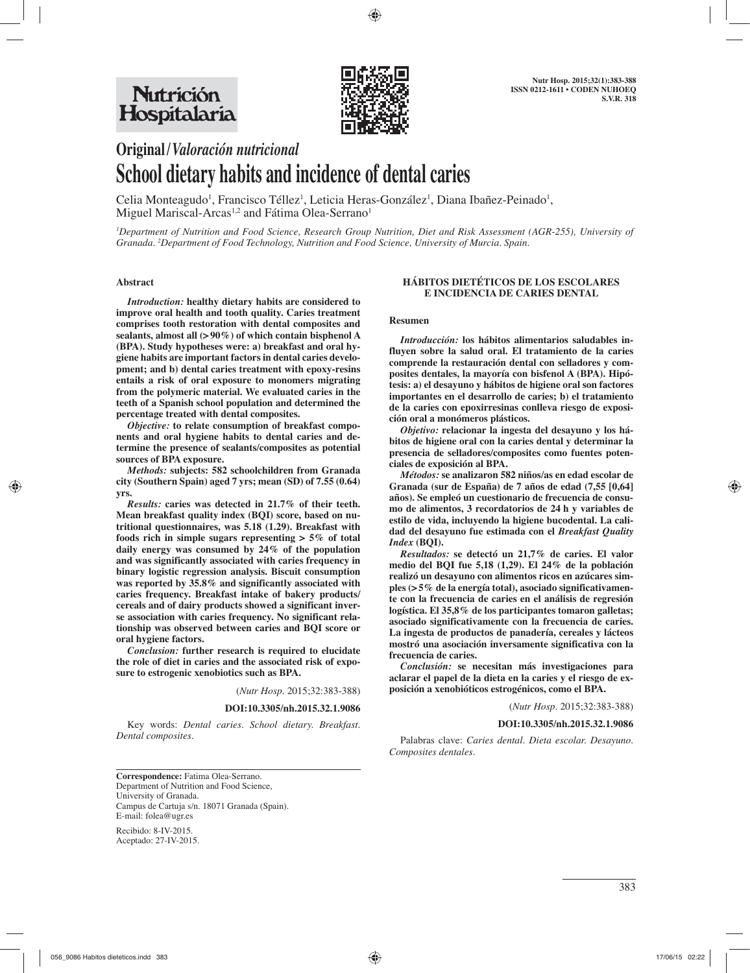

# **Original /** *Valoración nutricional* **School dietary habits and incidence of dental caries**

Celia Monteagudo<sup>1</sup>, Francisco Téllez<sup>1</sup>, Leticia Heras-González<sup>1</sup>, Diana Ibañez-Peinado<sup>1</sup>, Miguel Mariscal-Arcas<sup>1,2</sup> and Fátima Olea-Serrano<sup>1</sup>

*1 Department of Nutrition and Food Science, Research Group Nutrition, Diet and Risk Assessment (AGR-255), University of Granada. 2 Department of Food Technology, Nutrition and Food Science, University of Murcia. Spain.*

## **Abstract**

*Introduction:* **healthy dietary habits are considered to improve oral health and tooth quality. Caries treatment comprises tooth restoration with dental composites and sealants, almost all (> 90%) of which contain bisphenol A (BPA). Study hypotheses were: a) breakfast and oral hygiene habits are important factors in dental caries development; and b) dental caries treatment with epoxy-resins entails a risk of oral exposure to monomers migrating from the polymeric material. We evaluated caries in the teeth of a Spanish school population and determined the percentage treated with dental composites.** 

*Objective:* **to relate consumption of breakfast components and oral hygiene habits to dental caries and determine the presence of sealants/composites as potential sources of BPA exposure.** 

*Methods:* **subjects: 582 schoolchildren from Granada city (Southern Spain) aged 7 yrs; mean (SD) of 7.55 (0.64) yrs.** 

*Results:* **caries was detected in 21.7% of their teeth. Mean breakfast quality index (BQI) score, based on nutritional questionnaires, was 5.18 (1.29). Breakfast with foods rich in simple sugars representing > 5% of total daily energy was consumed by 24% of the population and was significantly associated with caries frequency in binary logistic regression analysis. Biscuit consumption was reported by 35.8% and significantly associated with caries frequency. Breakfast intake of bakery products/ cereals and of dairy products showed a significant inverse association with caries frequency. No significant relationship was observed between caries and BQI score or oral hygiene factors.** 

*Conclusion:* **further research is required to elucidate the role of diet in caries and the associated risk of exposure to estrogenic xenobiotics such as BPA.** 

(*Nutr Hosp.* 2015;32:383-388)

#### **DOI:10.3305/nh.2015.32.1.9086**

Key words: *Dental caries. School dietary. Breakfast. Dental composites.*

## **HÁBITOS DIETÉTICOS DE LOS ESCOLARES E INCIDENCIA DE CARIES DENTAL**

#### **Resumen**

*Introducción:* **los hábitos alimentarios saludables influyen sobre la salud oral. El tratamiento de la caries comprende la restauración dental con selladores y composites dentales, la mayoría con bisfenol A (BPA). Hipótesis: a) el desayuno y hábitos de higiene oral son factores importantes en el desarrollo de caries; b) el tratamiento de la caries con epoxirresinas conlleva riesgo de exposición oral a monómeros plásticos.** 

*Objetivo:* **relacionar la ingesta del desayuno y los hábitos de higiene oral con la caries dental y determinar la presencia de selladores/composites como fuentes potenciales de exposición al BPA.** 

*Métodos:* **se analizaron 582 niños/as en edad escolar de Granada (sur de España) de 7 años de edad (7,55 [0,64] años). Se empleó un cuestionario de frecuencia de consumo de alimentos, 3 recordatorios de 24 h y variables de estilo de vida, incluyendo la higiene bucodental. La calidad del desayuno fue estimada con el** *Breakfast Quality Index* **(BQI).** 

*Resultados:* **se detectó un 21,7% de caries. El valor medio del BQI fue 5,18 (1,29). El 24% de la población realizó un desayuno con alimentos ricos en azúcares simples (> 5% de la energía total), asociado significativamente con la frecuencia de caries en el análisis de regresión logística. El 35,8% de los participantes tomaron galletas; asociado significativamente con la frecuencia de caries. La ingesta de productos de panadería, cereales y lácteos mostró una asociación inversamente significativa con la frecuencia de caries.** 

*Conclusión:* **se necesitan más investigaciones para aclarar el papel de la dieta en la caries y el riesgo de exposición a xenobióticos estrogénicos, como el BPA.**

(*Nutr Hosp.* 2015;32:383-388)

#### **DOI:10.3305/nh.2015.32.1.9086**

Palabras clave: *Caries dental. Dieta escolar. Desayuno. Composites dentales.* 

**Correspondence:** Fatima Olea-Serrano. Department of Nutrition and Food Science, University of Granada. Campus de Cartuja s/n. 18071 Granada (Spain). E-mail: folea@ugr.es

Recibido: 8-IV-2015. Aceptado: 27-IV-2015.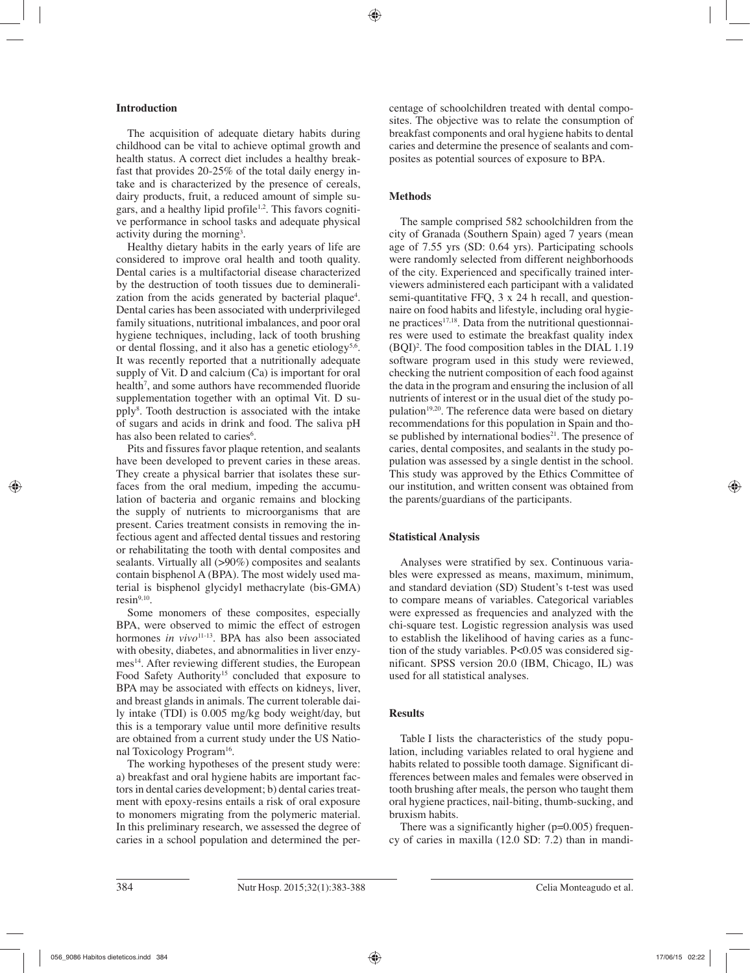# **Introduction**

The acquisition of adequate dietary habits during childhood can be vital to achieve optimal growth and health status. A correct diet includes a healthy breakfast that provides 20-25% of the total daily energy intake and is characterized by the presence of cereals, dairy products, fruit, a reduced amount of simple sugars, and a healthy lipid profile<sup>1,2</sup>. This favors cognitive performance in school tasks and adequate physical activity during the morning<sup>3</sup>.

Healthy dietary habits in the early years of life are considered to improve oral health and tooth quality. Dental caries is a multifactorial disease characterized by the destruction of tooth tissues due to demineralization from the acids generated by bacterial plaque<sup>4</sup>. Dental caries has been associated with underprivileged family situations, nutritional imbalances, and poor oral hygiene techniques, including, lack of tooth brushing or dental flossing, and it also has a genetic etiology<sup>5,6</sup>. It was recently reported that a nutritionally adequate supply of Vit. D and calcium (Ca) is important for oral health<sup>7</sup>, and some authors have recommended fluoride supplementation together with an optimal Vit. D supply8 . Tooth destruction is associated with the intake of sugars and acids in drink and food. The saliva pH has also been related to caries<sup>6</sup>.

Pits and fissures favor plaque retention, and sealants have been developed to prevent caries in these areas. They create a physical barrier that isolates these surfaces from the oral medium, impeding the accumulation of bacteria and organic remains and blocking the supply of nutrients to microorganisms that are present. Caries treatment consists in removing the infectious agent and affected dental tissues and restoring or rehabilitating the tooth with dental composites and sealants. Virtually all (>90%) composites and sealants contain bisphenol A (BPA). The most widely used material is bisphenol glycidyl methacrylate (bis-GMA)  $resin<sup>9,10</sup>$ .

Some monomers of these composites, especially BPA, were observed to mimic the effect of estrogen hormones *in vivo*<sup>11-13</sup>. BPA has also been associated with obesity, diabetes, and abnormalities in liver enzymes<sup>14</sup>. After reviewing different studies, the European Food Safety Authority<sup>15</sup> concluded that exposure to BPA may be associated with effects on kidneys, liver, and breast glands in animals. The current tolerable daily intake (TDI) is 0.005 mg/kg body weight/day, but this is a temporary value until more definitive results are obtained from a current study under the US National Toxicology Program<sup>16</sup>.

The working hypotheses of the present study were: a) breakfast and oral hygiene habits are important factors in dental caries development; b) dental caries treatment with epoxy-resins entails a risk of oral exposure to monomers migrating from the polymeric material. In this preliminary research, we assessed the degree of caries in a school population and determined the percentage of schoolchildren treated with dental composites. The objective was to relate the consumption of breakfast components and oral hygiene habits to dental caries and determine the presence of sealants and composites as potential sources of exposure to BPA.

# **Methods**

The sample comprised 582 schoolchildren from the city of Granada (Southern Spain) aged 7 years (mean age of 7.55 yrs (SD: 0.64 yrs). Participating schools were randomly selected from different neighborhoods of the city. Experienced and specifically trained interviewers administered each participant with a validated semi-quantitative FFQ, 3 x 24 h recall, and questionnaire on food habits and lifestyle, including oral hygiene practices<sup>17,18</sup>. Data from the nutritional questionnaires were used to estimate the breakfast quality index (BQI)2 . The food composition tables in the DIAL 1.19 software program used in this study were reviewed, checking the nutrient composition of each food against the data in the program and ensuring the inclusion of all nutrients of interest or in the usual diet of the study population<sup>19,20</sup>. The reference data were based on dietary recommendations for this population in Spain and those published by international bodies<sup>21</sup>. The presence of caries, dental composites, and sealants in the study population was assessed by a single dentist in the school. This study was approved by the Ethics Committee of our institution, and written consent was obtained from the parents/guardians of the participants.

# **Statistical Analysis**

Analyses were stratified by sex. Continuous variables were expressed as means, maximum, minimum, and standard deviation (SD) Student's t-test was used to compare means of variables. Categorical variables were expressed as frequencies and analyzed with the chi-square test. Logistic regression analysis was used to establish the likelihood of having caries as a function of the study variables. P<0.05 was considered significant. SPSS version 20.0 (IBM, Chicago, IL) was used for all statistical analyses.

# **Results**

Table I lists the characteristics of the study population, including variables related to oral hygiene and habits related to possible tooth damage. Significant differences between males and females were observed in tooth brushing after meals, the person who taught them oral hygiene practices, nail-biting, thumb-sucking, and bruxism habits.

There was a significantly higher  $(p=0.005)$  frequency of caries in maxilla (12.0 SD: 7.2) than in mandi-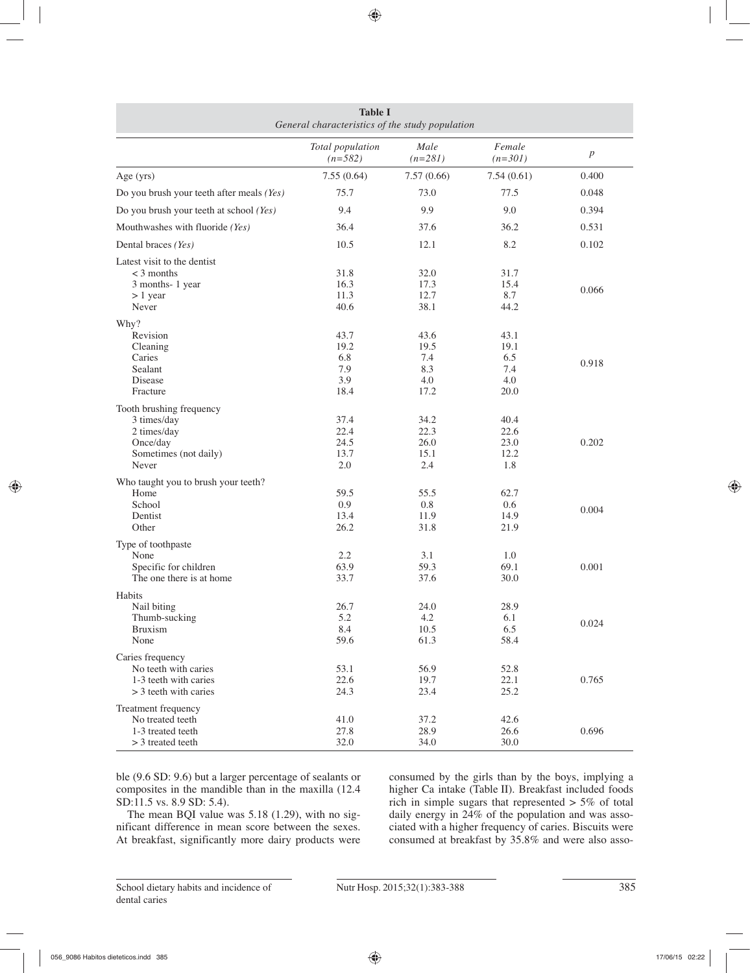| <b>Table I</b><br>General characteristics of the study population |                               |                   |                     |                  |  |  |
|-------------------------------------------------------------------|-------------------------------|-------------------|---------------------|------------------|--|--|
|                                                                   | Total population<br>$(n=582)$ | Male<br>$(n=281)$ | Female<br>$(n=301)$ | $\boldsymbol{p}$ |  |  |
| Age (yrs)                                                         | 7.55(0.64)                    | 7.57(0.66)        | 7.54(0.61)          | 0.400            |  |  |
| Do you brush your teeth after meals (Yes)                         | 75.7                          | 73.0              | 77.5                | 0.048            |  |  |
| Do you brush your teeth at school (Yes)                           | 9.4                           | 9.9               | 9.0                 | 0.394            |  |  |
| Mouthwashes with fluoride (Yes)                                   | 36.4                          | 37.6              | 36.2                | 0.531            |  |  |
| Dental braces (Yes)                                               | 10.5                          | 12.1              | 8.2                 | 0.102            |  |  |
| Latest visit to the dentist                                       |                               |                   |                     |                  |  |  |
| $<$ 3 months                                                      | 31.8                          | 32.0              | 31.7                |                  |  |  |
| 3 months-1 year                                                   | 16.3                          | 17.3              | 15.4                | 0.066            |  |  |
| $> 1$ year                                                        | 11.3                          | 12.7              | 8.7                 |                  |  |  |
| Never                                                             | 40.6                          | 38.1              | 44.2                |                  |  |  |
| Why?                                                              |                               |                   |                     |                  |  |  |
| Revision                                                          | 43.7                          | 43.6              | 43.1                |                  |  |  |
| Cleaning                                                          | 19.2                          | 19.5              | 19.1                |                  |  |  |
| Caries                                                            | 6.8                           | 7.4               | 6.5                 |                  |  |  |
| Sealant                                                           | 7.9                           | 8.3               | 7.4                 | 0.918            |  |  |
| Disease                                                           | 3.9                           | 4.0               | 4.0                 |                  |  |  |
| Fracture                                                          | 18.4                          | 17.2              | 20.0                |                  |  |  |
|                                                                   |                               |                   |                     |                  |  |  |
| Tooth brushing frequency<br>3 times/day                           | 37.4                          | 34.2              | 40.4                |                  |  |  |
| 2 times/day                                                       | 22.4                          | 22.3              | 22.6                |                  |  |  |
| Once/day                                                          | 24.5                          | 26.0              | 23.0                | 0.202            |  |  |
| Sometimes (not daily)                                             | 13.7                          | 15.1              | 12.2                |                  |  |  |
| Never                                                             | 2.0                           | 2.4               | 1.8                 |                  |  |  |
|                                                                   |                               |                   |                     |                  |  |  |
| Who taught you to brush your teeth?                               |                               |                   |                     |                  |  |  |
| Home                                                              | 59.5                          | 55.5              | 62.7                |                  |  |  |
| School                                                            | 0.9                           | 0.8               | 0.6                 | 0.004            |  |  |
| Dentist                                                           | 13.4                          | 11.9              | 14.9                |                  |  |  |
| Other                                                             | 26.2                          | 31.8              | 21.9                |                  |  |  |
| Type of toothpaste                                                |                               |                   |                     |                  |  |  |
| None                                                              | 2.2                           | 3.1               | 1.0                 |                  |  |  |
| Specific for children                                             | 63.9                          | 59.3              | 69.1                | 0.001            |  |  |
| The one there is at home                                          | 33.7                          | 37.6              | 30.0                |                  |  |  |
| Habits                                                            |                               |                   |                     |                  |  |  |
| Nail biting                                                       | 26.7                          | 24.0              | 28.9                |                  |  |  |
| Thumb-sucking                                                     | 5.2                           | 4.2               | 6.1                 | 0.024            |  |  |
| <b>Bruxism</b>                                                    | 8.4                           | 10.5              | 6.5                 |                  |  |  |
| None                                                              | 59.6                          | 61.3              | 58.4                |                  |  |  |
| Caries frequency                                                  |                               |                   |                     |                  |  |  |
| No teeth with caries                                              | 53.1                          | 56.9              | 52.8                |                  |  |  |
| 1-3 teeth with caries                                             | 22.6                          | 19.7              | 22.1                | 0.765            |  |  |
| $>$ 3 teeth with caries                                           | 24.3                          | 23.4              | 25.2                |                  |  |  |
|                                                                   |                               |                   |                     |                  |  |  |
| Treatment frequency<br>No treated teeth                           |                               |                   |                     |                  |  |  |
| 1-3 treated teeth                                                 | 41.0                          | 37.2              | 42.6                | 0.696            |  |  |
|                                                                   | 27.8                          | 28.9              | 26.6                |                  |  |  |
| > 3 treated teeth                                                 | 32.0                          | 34.0              | 30.0                |                  |  |  |

ble (9.6 SD: 9.6) but a larger percentage of sealants or composites in the mandible than in the maxilla (12.4 SD:11.5 vs. 8.9 SD: 5.4).

The mean BQI value was 5.18 (1.29), with no significant difference in mean score between the sexes. At breakfast, significantly more dairy products were consumed by the girls than by the boys, implying a higher Ca intake (Table II). Breakfast included foods rich in simple sugars that represented  $> 5\%$  of total daily energy in 24% of the population and was associated with a higher frequency of caries. Biscuits were consumed at breakfast by 35.8% and were also asso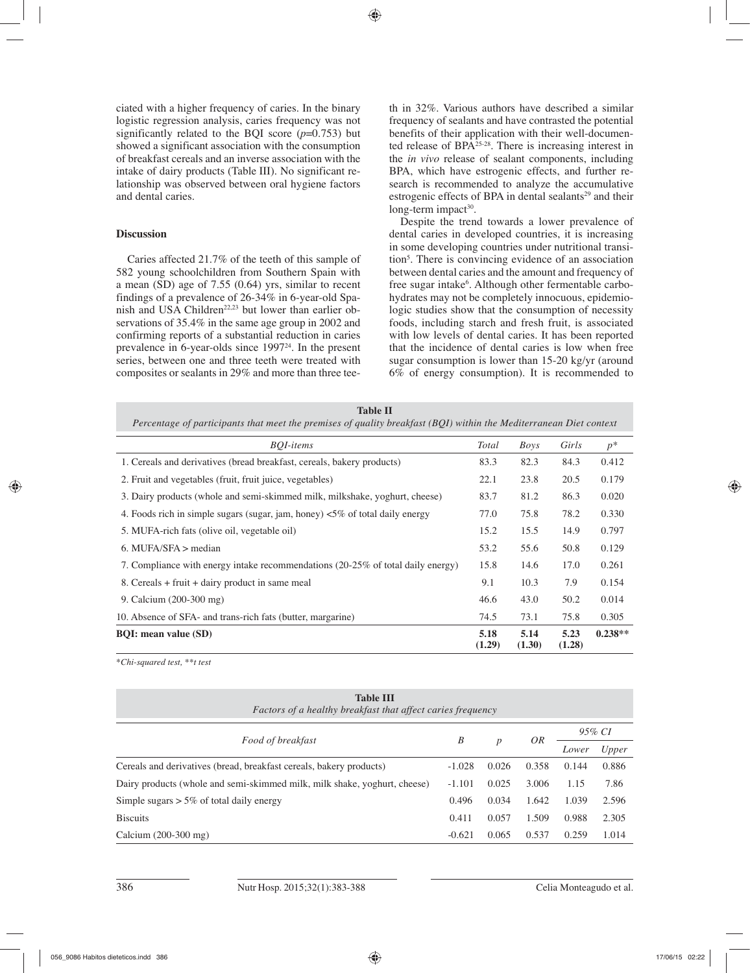ciated with a higher frequency of caries. In the binary logistic regression analysis, caries frequency was not significantly related to the BQI score  $(p=0.753)$  but showed a significant association with the consumption of breakfast cereals and an inverse association with the intake of dairy products (Table III). No significant relationship was observed between oral hygiene factors and dental caries.

## **Discussion**

Caries affected 21.7% of the teeth of this sample of 582 young schoolchildren from Southern Spain with a mean (SD) age of 7.55 (0.64) yrs, similar to recent findings of a prevalence of 26-34% in 6-year-old Spanish and USA Children<sup>22,23</sup> but lower than earlier observations of 35.4% in the same age group in 2002 and confirming reports of a substantial reduction in caries prevalence in 6-year-olds since 1997<sup>24</sup>. In the present series, between one and three teeth were treated with composites or sealants in 29% and more than three teeth in 32%. Various authors have described a similar frequency of sealants and have contrasted the potential benefits of their application with their well-documented release of BPA25-28. There is increasing interest in the *in vivo* release of sealant components, including BPA, which have estrogenic effects, and further research is recommended to analyze the accumulative estrogenic effects of BPA in dental sealants<sup>29</sup> and their long-term impact<sup>30</sup>.

Despite the trend towards a lower prevalence of dental caries in developed countries, it is increasing in some developing countries under nutritional transition5 . There is convincing evidence of an association between dental caries and the amount and frequency of free sugar intake<sup>6</sup>. Although other fermentable carbohydrates may not be completely innocuous, epidemiologic studies show that the consumption of necessity foods, including starch and fresh fruit, is associated with low levels of dental caries. It has been reported that the incidence of dental caries is low when free sugar consumption is lower than 15-20 kg/yr (around 6% of energy consumption). It is recommended to

| Table II                                                                                                             |
|----------------------------------------------------------------------------------------------------------------------|
| Percentage of participants that meet the premises of quality breakfast $(BOI)$ within the Mediterranean Diet context |

| <b>BOI-items</b>                                                                       |                | Boys           | Girls          | $p^*$     |
|----------------------------------------------------------------------------------------|----------------|----------------|----------------|-----------|
| 1. Cereals and derivatives (bread breakfast, cereals, bakery products)                 |                | 82.3           | 84.3           | 0.412     |
| 2. Fruit and vegetables (fruit, fruit juice, vegetables)                               |                | 23.8           | 20.5           | 0.179     |
| 3. Dairy products (whole and semi-skimmed milk, milkshake, yoghurt, cheese)            |                | 81.2           | 86.3           | 0.020     |
| 4. Foods rich in simple sugars (sugar, jam, honey) $\langle 5\%$ of total daily energy |                | 75.8           | 78.2           | 0.330     |
| 5. MUFA-rich fats (olive oil, vegetable oil)                                           |                | 15.5           | 14.9           | 0.797     |
| 6. MUFA/SFA $>$ median                                                                 |                | 55.6           | 50.8           | 0.129     |
| 7. Compliance with energy intake recommendations (20-25% of total daily energy)        |                | 14.6           | 17.0           | 0.261     |
| 8. Cereals + fruit + dairy product in same meal                                        |                | 10.3           | 7.9            | 0.154     |
| 9. Calcium (200-300 mg)                                                                |                | 43.0           | 50.2           | 0.014     |
| 10. Absence of SFA- and trans-rich fats (butter, margarine)                            |                | 73.1           | 75.8           | 0.305     |
| <b>BQI:</b> mean value (SD)                                                            | 5.18<br>(1.29) | 5.14<br>(1.30) | 5.23<br>(1.28) | $0.238**$ |

\**Chi-squared test, \*\*t test* 

| <b>Table III</b><br><i>Factors of a healthy breakfast that affect caries frequency</i> |          |                  |       |        |       |  |  |  |
|----------------------------------------------------------------------------------------|----------|------------------|-------|--------|-------|--|--|--|
|                                                                                        | B        |                  |       | 95% CI |       |  |  |  |
| Food of breakfast                                                                      |          | $\boldsymbol{p}$ | OR    | Lower  | Upper |  |  |  |
| Cereals and derivatives (bread, breakfast cereals, bakery products)                    |          | 0.026            | 0.358 | 0.144  | 0.886 |  |  |  |
| Dairy products (whole and semi-skimmed milk, milk shake, yoghurt, cheese)              |          | 0.025            | 3.006 | 1.15   | 7.86  |  |  |  |
| Simple sugars $> 5\%$ of total daily energy                                            |          | 0.034            | 1.642 | 1.039  | 2.596 |  |  |  |
| <b>Biscuits</b>                                                                        |          | 0.057            | 1.509 | 0.988  | 2.305 |  |  |  |
| Calcium $(200-300$ mg)                                                                 | $-0.621$ | 0.065            | 0.537 | 0.259  | 1.014 |  |  |  |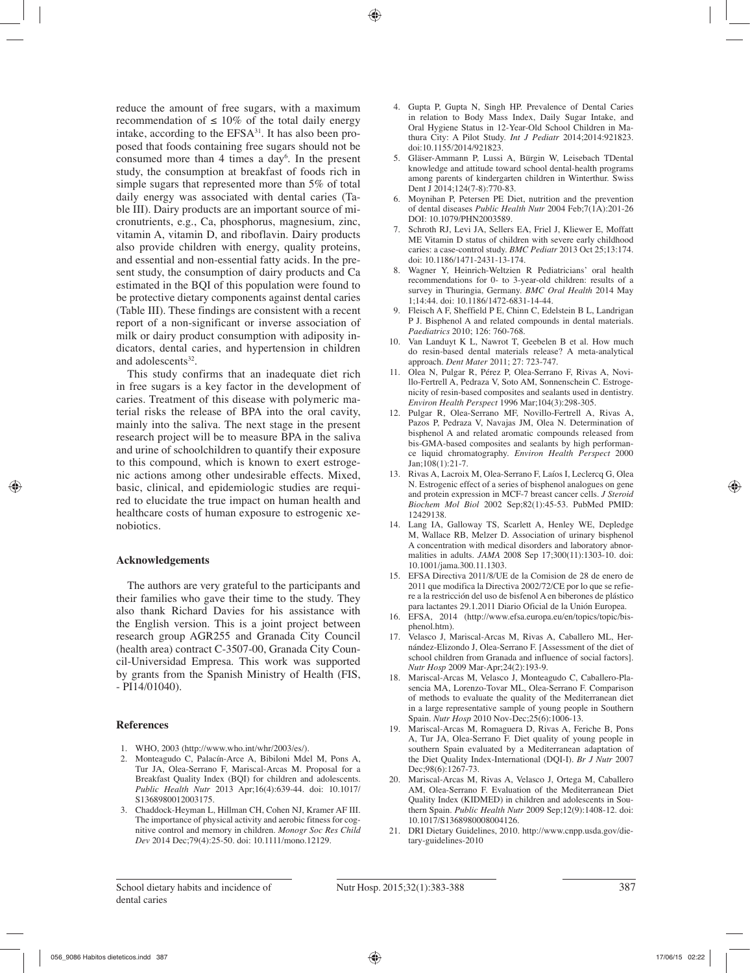reduce the amount of free sugars, with a maximum recommendation of  $\leq 10\%$  of the total daily energy intake, according to the  $EFSA<sup>31</sup>$ . It has also been proposed that foods containing free sugars should not be consumed more than 4 times a day<sup>6</sup>. In the present study, the consumption at breakfast of foods rich in simple sugars that represented more than 5% of total daily energy was associated with dental caries (Table III). Dairy products are an important source of micronutrients, e.g., Ca, phosphorus, magnesium, zinc, vitamin A, vitamin D, and riboflavin. Dairy products also provide children with energy, quality proteins, and essential and non-essential fatty acids. In the present study, the consumption of dairy products and Ca estimated in the BQI of this population were found to be protective dietary components against dental caries (Table III). These findings are consistent with a recent report of a non-significant or inverse association of milk or dairy product consumption with adiposity indicators, dental caries, and hypertension in children and adolescents<sup>32</sup>.

This study confirms that an inadequate diet rich in free sugars is a key factor in the development of caries. Treatment of this disease with polymeric material risks the release of BPA into the oral cavity, mainly into the saliva. The next stage in the present research project will be to measure BPA in the saliva and urine of schoolchildren to quantify their exposure to this compound, which is known to exert estrogenic actions among other undesirable effects. Mixed, basic, clinical, and epidemiologic studies are required to elucidate the true impact on human health and healthcare costs of human exposure to estrogenic xenobiotics.

# **Acknowledgements**

The authors are very grateful to the participants and their families who gave their time to the study. They also thank Richard Davies for his assistance with the English version. This is a joint project between research group AGR255 and Granada City Council (health area) contract C-3507-00, Granada City Council-Universidad Empresa. This work was supported by grants from the Spanish Ministry of Health (FIS, - PI14/01040).

### **References**

- 1. WHO, 2003 (http://www.who.int/whr/2003/es/).
- 2. Monteagudo C, Palacín-Arce A, Bibiloni Mdel M, Pons A, Tur JA, Olea-Serrano F, Mariscal-Arcas M. Proposal for a Breakfast Quality Index (BQI) for children and adolescents. *Public Health Nutr* 2013 Apr;16(4):639-44. doi: 10.1017/ S1368980012003175.
- 3. Chaddock-Heyman L, Hillman CH, Cohen NJ, Kramer AF III. The importance of physical activity and aerobic fitness for cognitive control and memory in children. *Monogr Soc Res Child Dev* 2014 Dec;79(4):25-50. doi: 10.1111/mono.12129.
- 4. Gupta P, Gupta N, Singh HP. Prevalence of Dental Caries in relation to Body Mass Index, Daily Sugar Intake, and Oral Hygiene Status in 12-Year-Old School Children in Mathura City: A Pilot Study. *Int J Pediatr* 2014;2014:921823. doi:10.1155/2014/921823.
- 5. Gläser-Ammann P, Lussi A, Bürgin W, Leisebach TDental knowledge and attitude toward school dental-health programs among parents of kindergarten children in Winterthur. Swiss Dent J 2014;124(7-8):770-83.
- 6. Moynihan P, Petersen PE Diet, nutrition and the prevention of dental diseases *Public Health Nutr* 2004 Feb;7(1A):201-26 DOI: 10.1079/PHN2003589.
- 7. Schroth RJ, Levi JA, Sellers EA, Friel J, Kliewer E, Moffatt ME Vitamin D status of children with severe early childhood caries: a case-control study. *BMC Pediatr* 2013 Oct 25;13:174. doi: 10.1186/1471-2431-13-174.
- 8. Wagner Y, Heinrich-Weltzien R Pediatricians' oral health recommendations for 0- to 3-year-old children: results of a survey in Thuringia, Germany. *BMC Oral Health* 2014 May 1;14:44. doi: 10.1186/1472-6831-14-44.
- 9. Fleisch A F, Sheffield P E, Chinn C, Edelstein B L, Landrigan P J. Bisphenol A and related compounds in dental materials. *Paediatrics* 2010; 126: 760-768.
- 10. Van Landuyt K L, Nawrot T, Geebelen B et al. How much do resin-based dental materials release? A meta-analytical approach. *Dent Mater* 2011; 27: 723-747.
- 11. Olea N, Pulgar R, Pérez P, Olea-Serrano F, Rivas A, Novillo-Fertrell A, Pedraza V, Soto AM, Sonnenschein C. Estrogenicity of resin-based composites and sealants used in dentistry. *Environ Health Perspect* 1996 Mar;104(3):298-305.
- 12. Pulgar R, Olea-Serrano MF, Novillo-Fertrell A, Rivas A, Pazos P, Pedraza V, Navajas JM, Olea N. Determination of bisphenol A and related aromatic compounds released from bis-GMA-based composites and sealants by high performance liquid chromatography. *Environ Health Perspect* 2000 Jan;108(1):21-7.
- 13. Rivas A, Lacroix M, Olea-Serrano F, Laíos I, Leclercq G, Olea N. Estrogenic effect of a series of bisphenol analogues on gene and protein expression in MCF-7 breast cancer cells. *J Steroid Biochem Mol Biol* 2002 Sep;82(1):45-53. PubMed PMID: 12429138.
- 14. Lang IA, Galloway TS, Scarlett A, Henley WE, Depledge M, Wallace RB, Melzer D. Association of urinary bisphenol A concentration with medical disorders and laboratory abnormalities in adults. *JAMA* 2008 Sep 17;300(11):1303-10. doi: 10.1001/jama.300.11.1303.
- 15. EFSA Directiva 2011/8/UE de la Comision de 28 de enero de 2011 que modifica la Directiva 2002/72/CE por lo que se refiere a la restricción del uso de bisfenol A en biberones de plástico para lactantes 29.1.2011 Diario Oficial de la Unión Europea.
- 16. EFSA, 2014 (http://www.efsa.europa.eu/en/topics/topic/bisphenol.htm).
- 17. Velasco J, Mariscal-Arcas M, Rivas A, Caballero ML, Hernández-Elizondo J, Olea-Serrano F. [Assessment of the diet of school children from Granada and influence of social factors]. *Nutr Hosp* 2009 Mar-Apr;24(2):193-9.
- 18. Mariscal-Arcas M, Velasco J, Monteagudo C, Caballero-Plasencia MA, Lorenzo-Tovar ML, Olea-Serrano F. Comparison of methods to evaluate the quality of the Mediterranean diet in a large representative sample of young people in Southern Spain. *Nutr Hosp* 2010 Nov-Dec;25(6):1006-13.
- 19. Mariscal-Arcas M, Romaguera D, Rivas A, Feriche B, Pons A, Tur JA, Olea-Serrano F. Diet quality of young people in southern Spain evaluated by a Mediterranean adaptation of the Diet Quality Index-International (DQI-I). *Br J Nutr* 2007 Dec;98(6):1267-73.
- 20. Mariscal-Arcas M, Rivas A, Velasco J, Ortega M, Caballero AM, Olea-Serrano F. Evaluation of the Mediterranean Diet Quality Index (KIDMED) in children and adolescents in Southern Spain. *Public Health Nutr* 2009 Sep;12(9):1408-12. doi: 10.1017/S1368980008004126.
- 21. DRI Dietary Guidelines, 2010. http://www.cnpp.usda.gov/dietary-guidelines-2010